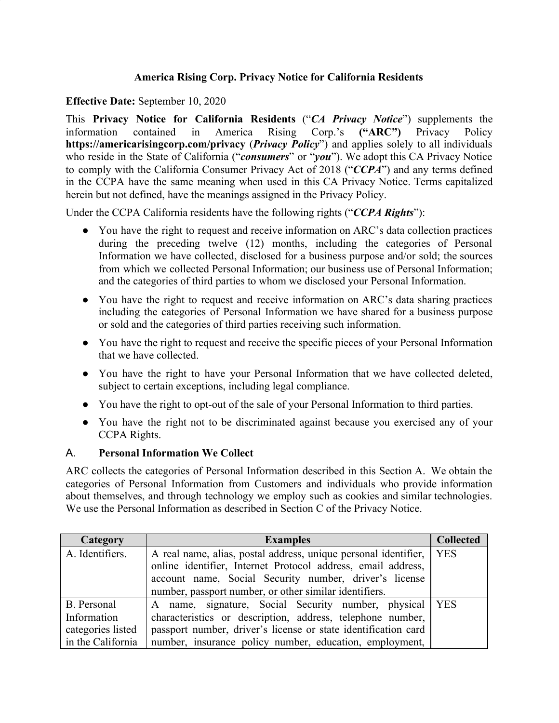# **America Rising Corp. Privacy Notice for California Residents**

### **Effective Date:** September 10, 2020

This **Privacy Notice for California Residents** ("*CA Privacy Notice*") supplements the information contained in America Rising Corp.'s **("ARC")** Privacy Policy **<https://americarisingcorp.com/privacy>** (*Privacy Policy*") and applies solely to all individuals who reside in the State of California ("*consumers*" or "*you*"). We adopt this CA Privacy Notice to comply with the California Consumer Privacy Act of 2018 ("*CCPA*") and any terms defined in the CCPA have the same meaning when used in this CA Privacy Notice. Terms capitalized herein but not defined, have the meanings assigned in the Privacy Policy.

Under the CCPA California residents have the following rights ("*CCPA Rights*"):

- You have the right to request and receive information on ARC's data collection practices during the preceding twelve (12) months, including the categories of Personal Information we have collected, disclosed for a business purpose and/or sold; the sources from which we collected Personal Information; our business use of Personal Information; and the categories of third parties to whom we disclosed your Personal Information.
- You have the right to request and receive information on ARC's data sharing practices including the categories of Personal Information we have shared for a business purpose or sold and the categories of third parties receiving such information.
- You have the right to request and receive the specific pieces of your Personal Information that we have collected.
- You have the right to have your Personal Information that we have collected deleted, subject to certain exceptions, including legal compliance.
- You have the right to opt-out of the sale of your Personal Information to third parties.
- You have the right not to be discriminated against because you exercised any of your CCPA Rights.

## A. **Personal Information We Collect**

ARC collects the categories of Personal Information described in this Section A. We obtain the categories of Personal Information from Customers and individuals who provide information about themselves, and through technology we employ such as cookies and similar technologies. We use the Personal Information as described in Section C of the Privacy Notice.

| Category          | <b>Examples</b>                                                 | <b>Collected</b> |
|-------------------|-----------------------------------------------------------------|------------------|
| A. Identifiers.   | A real name, alias, postal address, unique personal identifier, | <b>YES</b>       |
|                   | online identifier, Internet Protocol address, email address,    |                  |
|                   | account name, Social Security number, driver's license          |                  |
|                   | number, passport number, or other similar identifiers.          |                  |
| B. Personal       | A name, signature, Social Security number, physical YES         |                  |
| Information       | characteristics or description, address, telephone number,      |                  |
| categories listed | passport number, driver's license or state identification card  |                  |
| in the California | number, insurance policy number, education, employment,         |                  |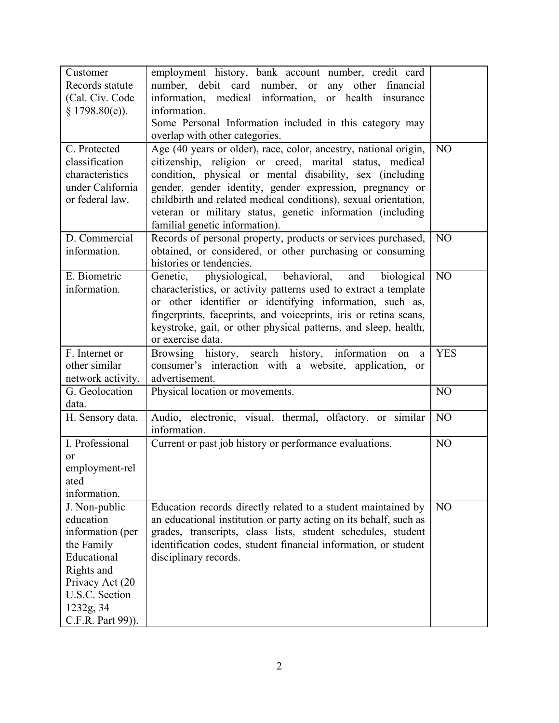|                                   | employment history, bank account number, credit card                 |                |
|-----------------------------------|----------------------------------------------------------------------|----------------|
| Customer<br>Records statute       | number, debit card number, or any other<br>financial                 |                |
| (Cal. Civ. Code                   | information, medical information, or health insurance                |                |
| $§$ 1798.80(e)).                  | information.                                                         |                |
|                                   | Some Personal Information included in this category may              |                |
|                                   | overlap with other categories.                                       |                |
| C. Protected                      | Age (40 years or older), race, color, ancestry, national origin,     | N <sub>O</sub> |
|                                   |                                                                      |                |
| classification<br>characteristics | citizenship, religion or creed, marital status, medical              |                |
|                                   | condition, physical or mental disability, sex (including             |                |
| under California                  | gender, gender identity, gender expression, pregnancy or             |                |
| or federal law.                   | childbirth and related medical conditions), sexual orientation,      |                |
|                                   | veteran or military status, genetic information (including           |                |
|                                   | familial genetic information).                                       |                |
| D. Commercial                     | Records of personal property, products or services purchased,        | N <sub>O</sub> |
| information.                      | obtained, or considered, or other purchasing or consuming            |                |
|                                   | histories or tendencies.                                             |                |
| E. Biometric                      | physiological, behavioral, and<br>biological<br>Genetic,             | N <sub>O</sub> |
| information.                      | characteristics, or activity patterns used to extract a template     |                |
|                                   | or other identifier or identifying information, such as,             |                |
|                                   | fingerprints, faceprints, and voiceprints, iris or retina scans,     |                |
|                                   | keystroke, gait, or other physical patterns, and sleep, health,      |                |
|                                   | or exercise data.                                                    |                |
| F. Internet or                    | Browsing history, search history, information<br>on<br>a             | <b>YES</b>     |
| other similar                     | consumer's interaction with a website, application,<br><sub>or</sub> |                |
| network activity.                 | advertisement.                                                       |                |
|                                   |                                                                      |                |
| G. Geolocation                    | Physical location or movements.                                      | NO             |
| data.                             |                                                                      |                |
| H. Sensory data.                  | Audio, electronic, visual, thermal, olfactory, or similar            | N <sub>O</sub> |
|                                   | information.                                                         |                |
| I. Professional                   | Current or past job history or performance evaluations.              | N <sub>O</sub> |
| or                                |                                                                      |                |
| employment-rel                    |                                                                      |                |
| ated                              |                                                                      |                |
| information.                      |                                                                      |                |
| J. Non-public                     | Education records directly related to a student maintained by        | N <sub>O</sub> |
| education                         | an educational institution or party acting on its behalf, such as    |                |
| information (per                  | grades, transcripts, class lists, student schedules, student         |                |
| the Family                        | identification codes, student financial information, or student      |                |
| Educational                       | disciplinary records.                                                |                |
| Rights and                        |                                                                      |                |
| Privacy Act (20                   |                                                                      |                |
| U.S.C. Section                    |                                                                      |                |
| 1232g, 34<br>C.F.R. Part 99)).    |                                                                      |                |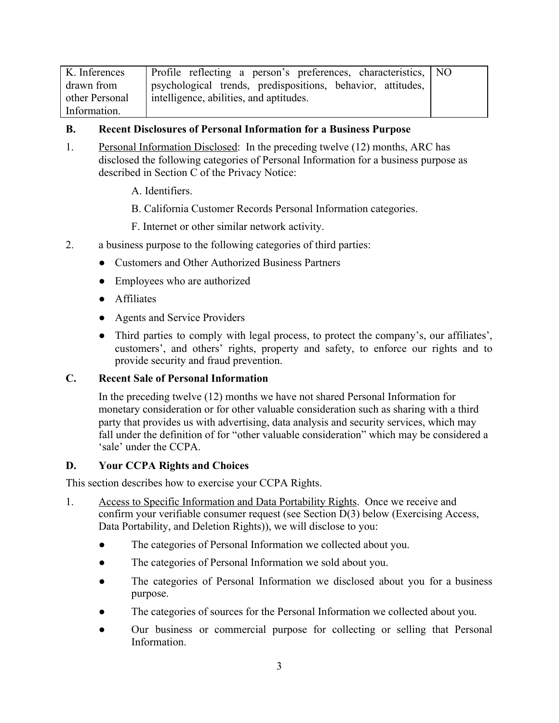| K. Inferences  | Profile reflecting a person's preferences, characteristics, NO |  |
|----------------|----------------------------------------------------------------|--|
| drawn from     | psychological trends, predispositions, behavior, attitudes,    |  |
| other Personal | intelligence, abilities, and aptitudes.                        |  |
| Information.   |                                                                |  |

#### **B. Recent Disclosures of Personal Information for a Business Purpose**

- 1. Personal Information Disclosed: In the preceding twelve (12) months, ARC has disclosed the following categories of Personal Information for a business purpose as described in Section C of the Privacy Notice:
	- A. Identifiers.
	- B. California Customer Records Personal Information categories.
	- F. Internet or other similar network activity.
- 2. a business purpose to the following categories of third parties:
	- Customers and Other Authorized Business Partners
	- Employees who are authorized
	- Affiliates
	- Agents and Service Providers
	- Third parties to comply with legal process, to protect the company's, our affiliates', customers', and others' rights, property and safety, to enforce our rights and to provide security and fraud prevention.

## **C. Recent Sale of Personal Information**

In the preceding twelve (12) months we have not shared Personal Information for monetary consideration or for other valuable consideration such as sharing with a third party that provides us with advertising, data analysis and security services, which may fall under the definition of for "other valuable consideration" which may be considered a 'sale' under the CCPA.

## **D. Your CCPA Rights and Choices**

This section describes how to exercise your CCPA Rights.

- 1. Access to Specific Information and Data Portability Rights. Once we receive and confirm your verifiable consumer request (see Section D(3) below (Exercising Access, Data Portability, and Deletion Rights)), we will disclose to you:
	- The categories of Personal Information we collected about you.
	- The categories of Personal Information we sold about you.
	- The categories of Personal Information we disclosed about you for a business purpose.
	- The categories of sources for the Personal Information we collected about you.
	- Our business or commercial purpose for collecting or selling that Personal Information.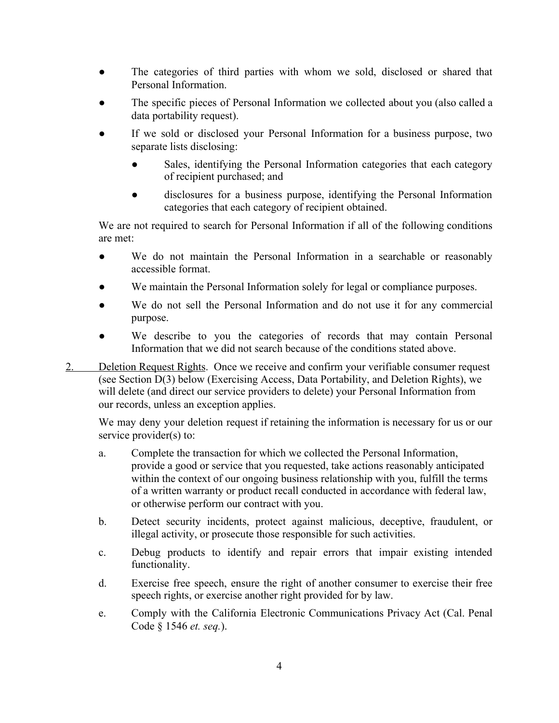- The categories of third parties with whom we sold, disclosed or shared that Personal Information.
- The specific pieces of Personal Information we collected about you (also called a data portability request).
- If we sold or disclosed your Personal Information for a business purpose, two separate lists disclosing:
	- Sales, identifying the Personal Information categories that each category of recipient purchased; and
	- disclosures for a business purpose, identifying the Personal Information categories that each category of recipient obtained.

We are not required to search for Personal Information if all of the following conditions are met:

- We do not maintain the Personal Information in a searchable or reasonably accessible format.
- We maintain the Personal Information solely for legal or compliance purposes.
- We do not sell the Personal Information and do not use it for any commercial purpose.
- We describe to you the categories of records that may contain Personal Information that we did not search because of the conditions stated above.
- 2. Deletion Request Rights. Once we receive and confirm your verifiable consumer request (see Section D(3) below (Exercising Access, Data Portability, and Deletion Rights), we will delete (and direct our service providers to delete) your Personal Information from our records, unless an exception applies.

We may deny your deletion request if retaining the information is necessary for us or our service provider(s) to:

- a. Complete the transaction for which we collected the Personal Information, provide a good or service that you requested, take actions reasonably anticipated within the context of our ongoing business relationship with you, fulfill the terms of a written warranty or product recall conducted in accordance with federal law, or otherwise perform our contract with you.
- b. Detect security incidents, protect against malicious, deceptive, fraudulent, or illegal activity, or prosecute those responsible for such activities.
- c. Debug products to identify and repair errors that impair existing intended functionality.
- d. Exercise free speech, ensure the right of another consumer to exercise their free speech rights, or exercise another right provided for by law.
- e. Comply with the California Electronic Communications Privacy Act (Cal. Penal Code § 1546 *et. seq.*).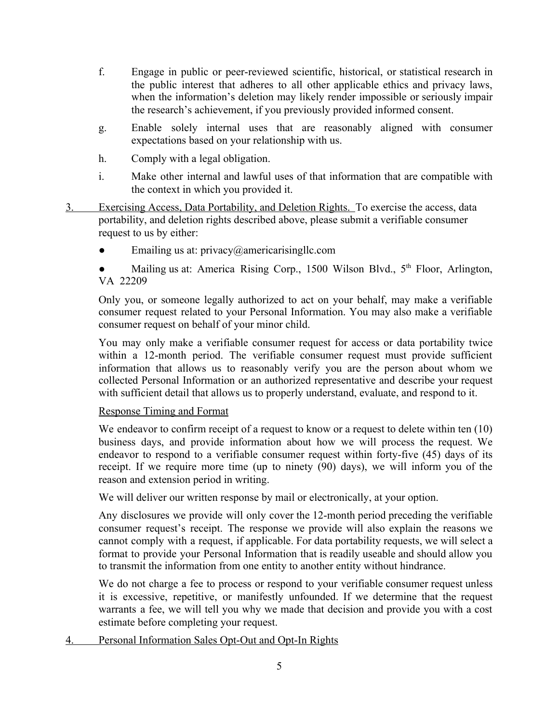- f. Engage in public or peer-reviewed scientific, historical, or statistical research in the public interest that adheres to all other applicable ethics and privacy laws, when the information's deletion may likely render impossible or seriously impair the research's achievement, if you previously provided informed consent.
- g. Enable solely internal uses that are reasonably aligned with consumer expectations based on your relationship with us.
- h. Comply with a legal obligation.
- i. Make other internal and lawful uses of that information that are compatible with the context in which you provided it.
- 3. Exercising Access, Data Portability, and Deletion Rights. To exercise the access, data portability, and deletion rights described above, please submit a verifiable consumer request to us by either:
	- $\bullet$  Emailing us at: [privacy@americarisingllc.com](mailto:privacy@americarisingllc.com)

• Mailing us at: America Rising Corp., 1500 Wilson Blvd., 5<sup>th</sup> Floor, Arlington, VA 22209

Only you, or someone legally authorized to act on your behalf, may make a verifiable consumer request related to your Personal Information. You may also make a verifiable consumer request on behalf of your minor child.

You may only make a verifiable consumer request for access or data portability twice within a 12-month period. The verifiable consumer request must provide sufficient information that allows us to reasonably verify you are the person about whom we collected Personal Information or an authorized representative and describe your request with sufficient detail that allows us to properly understand, evaluate, and respond to it.

#### Response Timing and Format

We endeavor to confirm receipt of a request to know or a request to delete within ten  $(10)$ business days, and provide information about how we will process the request. We endeavor to respond to a verifiable consumer request within forty-five (45) days of its receipt. If we require more time (up to ninety (90) days), we will inform you of the reason and extension period in writing.

We will deliver our written response by mail or electronically, at your option.

Any disclosures we provide will only cover the 12-month period preceding the verifiable consumer request's receipt. The response we provide will also explain the reasons we cannot comply with a request, if applicable. For data portability requests, we will select a format to provide your Personal Information that is readily useable and should allow you to transmit the information from one entity to another entity without hindrance.

We do not charge a fee to process or respond to your verifiable consumer request unless it is excessive, repetitive, or manifestly unfounded. If we determine that the request warrants a fee, we will tell you why we made that decision and provide you with a cost estimate before completing your request.

4. Personal Information Sales Opt-Out and Opt-In Rights